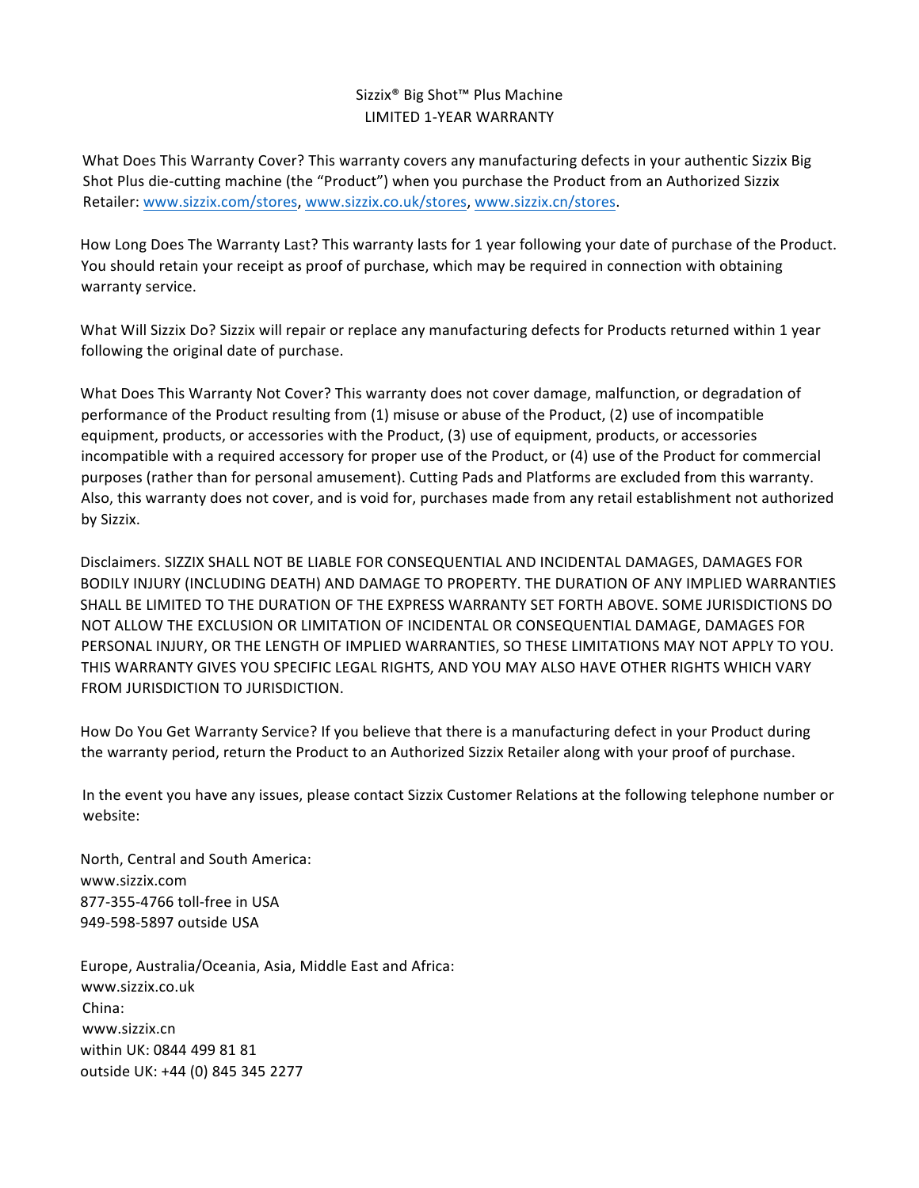## Sizzix<sup>®</sup> Big Shot™ Plus Machine LIMITED 1-YEAR WARRANTY

What Does This Warranty Cover? This warranty covers any manufacturing defects in your authentic Sizzix Big Shot Plus die-cutting machine (the "Product") when you purchase the Product from an Authorized Sizzix Retailer: www.sizzix.com/stores, www.sizzix.co.uk/stores, www.sizzix.cn/stores.

How Long Does The Warranty Last? This warranty lasts for 1 year following your date of purchase of the Product. You should retain your receipt as proof of purchase, which may be required in connection with obtaining warranty service.

What Will Sizzix Do? Sizzix will repair or replace any manufacturing defects for Products returned within 1 year following the original date of purchase.

What Does This Warranty Not Cover? This warranty does not cover damage, malfunction, or degradation of performance of the Product resulting from (1) misuse or abuse of the Product, (2) use of incompatible equipment, products, or accessories with the Product, (3) use of equipment, products, or accessories incompatible with a required accessory for proper use of the Product, or (4) use of the Product for commercial purposes (rather than for personal amusement). Cutting Pads and Platforms are excluded from this warranty. Also, this warranty does not cover, and is void for, purchases made from any retail establishment not authorized by Sizzix. 

Disclaimers. SIZZIX SHALL NOT BE LIABLE FOR CONSEQUENTIAL AND INCIDENTAL DAMAGES, DAMAGES FOR BODILY INJURY (INCLUDING DEATH) AND DAMAGE TO PROPERTY. THE DURATION OF ANY IMPLIED WARRANTIES SHALL BE LIMITED TO THE DURATION OF THE EXPRESS WARRANTY SET FORTH ABOVE. SOME JURISDICTIONS DO NOT ALLOW THE EXCLUSION OR LIMITATION OF INCIDENTAL OR CONSEQUENTIAL DAMAGE, DAMAGES FOR PERSONAL INJURY, OR THE LENGTH OF IMPLIED WARRANTIES, SO THESE LIMITATIONS MAY NOT APPLY TO YOU. THIS WARRANTY GIVES YOU SPECIFIC LEGAL RIGHTS, AND YOU MAY ALSO HAVE OTHER RIGHTS WHICH VARY FROM JURISDICTION TO JURISDICTION.

How Do You Get Warranty Service? If you believe that there is a manufacturing defect in your Product during the warranty period, return the Product to an Authorized Sizzix Retailer along with your proof of purchase.

In the event you have any issues, please contact Sizzix Customer Relations at the following telephone number or website:

North, Central and South America: www.sizzix.com 877-355-4766 toll-free in USA 949-598-5897 outside USA

Europe, Australia/Oceania, Asia, Middle East and Africa: www.sizzix.co.uk China: www.sizzix.cn within UK: 0844 499 81 81 outside UK: +44 (0) 845 345 2277